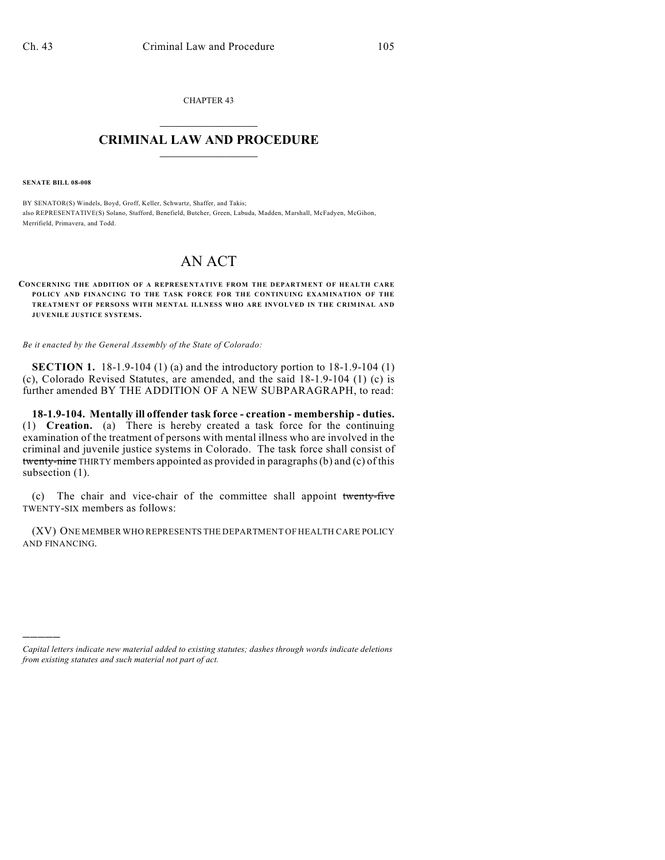CHAPTER 43  $\overline{\phantom{a}}$  . The set of the set of the set of the set of the set of the set of the set of the set of the set of the set of the set of the set of the set of the set of the set of the set of the set of the set of the set o

## **CRIMINAL LAW AND PROCEDURE**  $\_$

**SENATE BILL 08-008**

)))))

BY SENATOR(S) Windels, Boyd, Groff, Keller, Schwartz, Shaffer, and Takis; also REPRESENTATIVE(S) Solano, Stafford, Benefield, Butcher, Green, Labuda, Madden, Marshall, McFadyen, McGihon, Merrifield, Primavera, and Todd.

## AN ACT

## **CONCERNING THE ADDITION OF A REPRESENTATIVE FROM THE DEPARTMENT OF HEALTH CARE POLICY AND FINANCING TO THE TASK FORCE FOR THE CONTINUING EXAMINATION OF THE TREATMENT OF PERSONS WITH MENTAL ILLNESS WHO ARE INVOLVED IN THE CRIMINAL AND JUVENILE JUSTICE SYSTEM S.**

*Be it enacted by the General Assembly of the State of Colorado:*

**SECTION 1.** 18-1.9-104 (1) (a) and the introductory portion to 18-1.9-104 (1) (c), Colorado Revised Statutes, are amended, and the said 18-1.9-104 (1) (c) is further amended BY THE ADDITION OF A NEW SUBPARAGRAPH, to read:

**18-1.9-104. Mentally ill offender task force - creation - membership - duties.** (1) **Creation.** (a) There is hereby created a task force for the continuing examination of the treatment of persons with mental illness who are involved in the criminal and juvenile justice systems in Colorado. The task force shall consist of twenty-nine THIRTY members appointed as provided in paragraphs (b) and (c) of this subsection  $(1)$ .

(c) The chair and vice-chair of the committee shall appoint twenty-five TWENTY-SIX members as follows:

(XV) ONE MEMBER WHO REPRESENTS THE DEPARTMENT OF HEALTH CARE POLICY AND FINANCING.

*Capital letters indicate new material added to existing statutes; dashes through words indicate deletions from existing statutes and such material not part of act.*